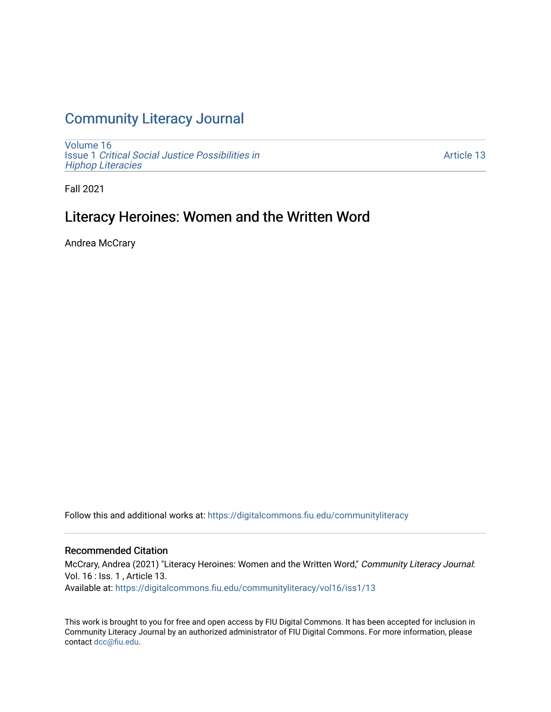## [Community Literacy Journal](https://digitalcommons.fiu.edu/communityliteracy)

[Volume 16](https://digitalcommons.fiu.edu/communityliteracy/vol16) Issue 1 [Critical Social Justice Possibilities in](https://digitalcommons.fiu.edu/communityliteracy/vol16/iss1) [Hiphop Literacies](https://digitalcommons.fiu.edu/communityliteracy/vol16/iss1)

[Article 13](https://digitalcommons.fiu.edu/communityliteracy/vol16/iss1/13) 

Fall 2021

## Literacy Heroines: Women and the Written Word

Andrea McCrary

Follow this and additional works at: [https://digitalcommons.fiu.edu/communityliteracy](https://digitalcommons.fiu.edu/communityliteracy?utm_source=digitalcommons.fiu.edu%2Fcommunityliteracy%2Fvol16%2Fiss1%2F13&utm_medium=PDF&utm_campaign=PDFCoverPages)

#### Recommended Citation

McCrary, Andrea (2021) "Literacy Heroines: Women and the Written Word," Community Literacy Journal: Vol. 16 : Iss. 1 , Article 13. Available at: [https://digitalcommons.fiu.edu/communityliteracy/vol16/iss1/13](https://digitalcommons.fiu.edu/communityliteracy/vol16/iss1/13?utm_source=digitalcommons.fiu.edu%2Fcommunityliteracy%2Fvol16%2Fiss1%2F13&utm_medium=PDF&utm_campaign=PDFCoverPages) 

This work is brought to you for free and open access by FIU Digital Commons. It has been accepted for inclusion in Community Literacy Journal by an authorized administrator of FIU Digital Commons. For more information, please contact [dcc@fiu.edu](mailto:dcc@fiu.edu).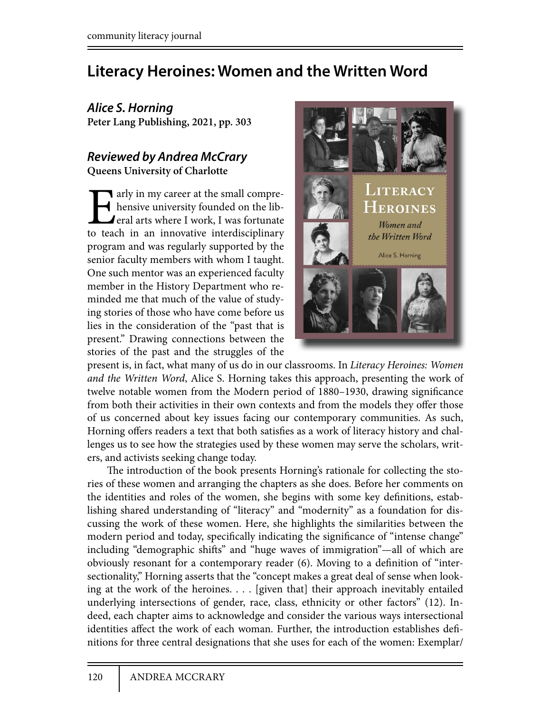# **Literacy Heroines: Women and the Written Word**

## *Alice S. Horning*

**Peter Lang Publishing, 2021, pp. 303** 

### *Reviewed by Andrea McCrary* **Queens University of Charlotte**

Early in my career at the small comprehensive university founded on the lib-<br>eral arts where I work, I was fortunate<br>to teach in an innovative interdisciplinary hensive university founded on the lib**d** eral arts where I work, I was fortunate to teach in an innovative interdisciplinary program and was regularly supported by the senior faculty members with whom I taught. One such mentor was an experienced faculty member in the History Department who reminded me that much of the value of studying stories of those who have come before us lies in the consideration of the "past that is present." Drawing connections between the stories of the past and the struggles of the



present is, in fact, what many of us do in our classrooms. In *Literacy Heroines: Women and the Written Word*, Alice S. Horning takes this approach, presenting the work of twelve notable women from the Modern period of 1880–1930, drawing significance from both their activities in their own contexts and from the models they offer those of us concerned about key issues facing our contemporary communities. As such, Horning offers readers a text that both satisfies as a work of literacy history and challenges us to see how the strategies used by these women may serve the scholars, writers, and activists seeking change today.

The introduction of the book presents Horning's rationale for collecting the stories of these women and arranging the chapters as she does. Before her comments on the identities and roles of the women, she begins with some key definitions, establishing shared understanding of "literacy" and "modernity" as a foundation for discussing the work of these women. Here, she highlights the similarities between the modern period and today, specifically indicating the significance of "intense change" including "demographic shifts" and "huge waves of immigration"-all of which are obviously resonant for a contemporary reader (6). Moving to a definition of "intersectionality," Horning asserts that the "concept makes a great deal of sense when looking at the work of the heroines. . . . [given that] their approach inevitably entailed underlying intersections of gender, race, class, ethnicity or other factors" (12). Indeed, each chapter aims to acknowledge and consider the various ways intersectional identities affect the work of each woman. Further, the introduction establishes definitions for three central designations that she uses for each of the women: Exemplar/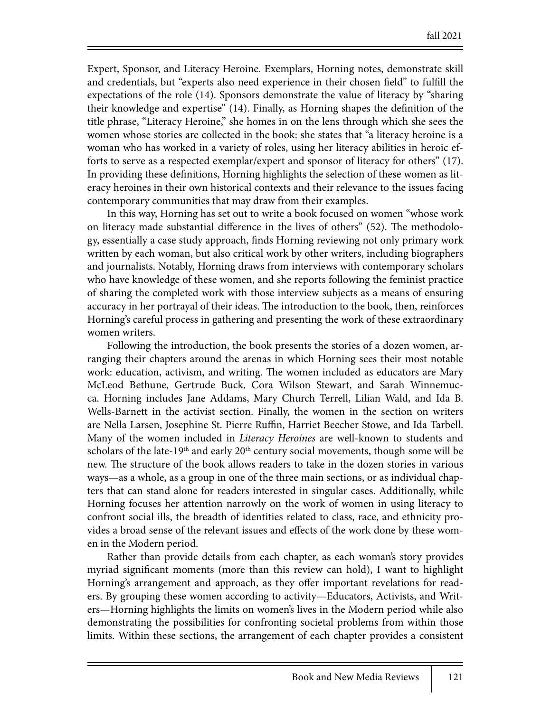Expert, Sponsor, and Literacy Heroine. Exemplars, Horning notes, demonstrate skill and credentials, but "experts also need experience in their chosen field" to fulfill the expectations of the role (14). Sponsors demonstrate the value of literacy by "sharing their knowledge and expertise" (14). Finally, as Horning shapes the definition of the title phrase, "Literacy Heroine," she homes in on the lens through which she sees the women whose stories are collected in the book: she states that "a literacy heroine is a woman who has worked in a variety of roles, using her literacy abilities in heroic efforts to serve as a respected exemplar/expert and sponsor of literacy for others" (17). In providing these definitions, Horning highlights the selection of these women as literacy heroines in their own historical contexts and their relevance to the issues facing contemporary communities that may draw from their examples.

In this way, Horning has set out to write a book focused on women "whose work on literacy made substantial difference in the lives of others" (52). The methodology, essentially a case study approach, !nds Horning reviewing not only primary work written by each woman, but also critical work by other writers, including biographers and journalists. Notably, Horning draws from interviews with contemporary scholars who have knowledge of these women, and she reports following the feminist practice of sharing the completed work with those interview subjects as a means of ensuring accuracy in her portrayal of their ideas. The introduction to the book, then, reinforces Horning's careful process in gathering and presenting the work of these extraordinary women writers.

Following the introduction, the book presents the stories of a dozen women, arranging their chapters around the arenas in which Horning sees their most notable work: education, activism, and writing. The women included as educators are Mary McLeod Bethune, Gertrude Buck, Cora Wilson Stewart, and Sarah Winnemucca. Horning includes Jane Addams, Mary Church Terrell, Lilian Wald, and Ida B. Wells-Barnett in the activist section. Finally, the women in the section on writers are Nella Larsen, Josephine St. Pierre Ruffin, Harriet Beecher Stowe, and Ida Tarbell. Many of the women included in *Literacy Heroines* are well-known to students and scholars of the late-19<sup>th</sup> and early 20<sup>th</sup> century social movements, though some will be new. The structure of the book allows readers to take in the dozen stories in various ways—as a whole, as a group in one of the three main sections, or as individual chapters that can stand alone for readers interested in singular cases. Additionally, while Horning focuses her attention narrowly on the work of women in using literacy to confront social ills, the breadth of identities related to class, race, and ethnicity provides a broad sense of the relevant issues and effects of the work done by these women in the Modern period.

Rather than provide details from each chapter, as each woman's story provides myriad significant moments (more than this review can hold), I want to highlight Horning's arrangement and approach, as they offer important revelations for readers. By grouping these women according to activity—Educators, Activists, and Writers—Horning highlights the limits on women's lives in the Modern period while also demonstrating the possibilities for confronting societal problems from within those limits. Within these sections, the arrangement of each chapter provides a consistent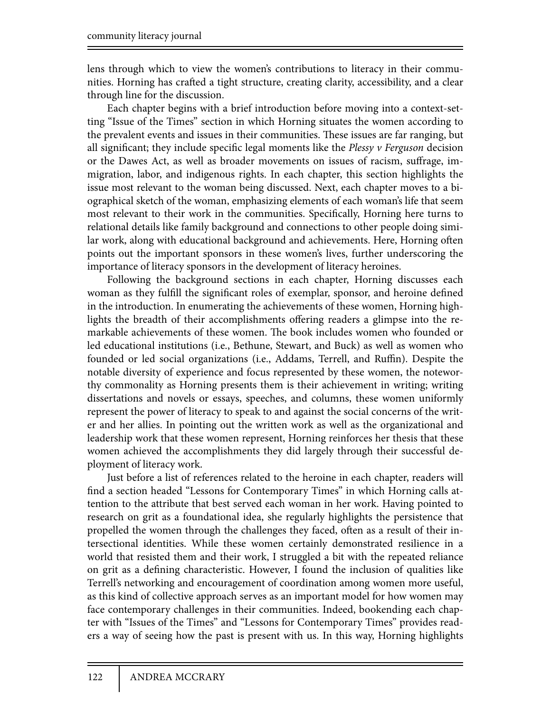lens through which to view the women's contributions to literacy in their communities. Horning has crafted a tight structure, creating clarity, accessibility, and a clear through line for the discussion.

Each chapter begins with a brief introduction before moving into a context-setting "Issue of the Times" section in which Horning situates the women according to the prevalent events and issues in their communities. These issues are far ranging, but all significant; they include specific legal moments like the *Plessy v Ferguson* decision or the Dawes Act, as well as broader movements on issues of racism, suffrage, immigration, labor, and indigenous rights. In each chapter, this section highlights the issue most relevant to the woman being discussed. Next, each chapter moves to a biographical sketch of the woman, emphasizing elements of each woman's life that seem most relevant to their work in the communities. Specifically, Horning here turns to relational details like family background and connections to other people doing similar work, along with educational background and achievements. Here, Horning often points out the important sponsors in these women's lives, further underscoring the importance of literacy sponsors in the development of literacy heroines.

Following the background sections in each chapter, Horning discusses each woman as they fulfill the significant roles of exemplar, sponsor, and heroine defined in the introduction. In enumerating the achievements of these women, Horning highlights the breadth of their accomplishments offering readers a glimpse into the remarkable achievements of these women. The book includes women who founded or led educational institutions (i.e., Bethune, Stewart, and Buck) as well as women who founded or led social organizations (i.e., Addams, Terrell, and Ruffin). Despite the notable diversity of experience and focus represented by these women, the noteworthy commonality as Horning presents them is their achievement in writing; writing dissertations and novels or essays, speeches, and columns, these women uniformly represent the power of literacy to speak to and against the social concerns of the writer and her allies. In pointing out the written work as well as the organizational and leadership work that these women represent, Horning reinforces her thesis that these women achieved the accomplishments they did largely through their successful deployment of literacy work.

Just before a list of references related to the heroine in each chapter, readers will find a section headed "Lessons for Contemporary Times" in which Horning calls attention to the attribute that best served each woman in her work. Having pointed to research on grit as a foundational idea, she regularly highlights the persistence that propelled the women through the challenges they faced, often as a result of their intersectional identities. While these women certainly demonstrated resilience in a world that resisted them and their work, I struggled a bit with the repeated reliance on grit as a defining characteristic. However, I found the inclusion of qualities like Terrell's networking and encouragement of coordination among women more useful, as this kind of collective approach serves as an important model for how women may face contemporary challenges in their communities. Indeed, bookending each chapter with "Issues of the Times" and "Lessons for Contemporary Times" provides readers a way of seeing how the past is present with us. In this way, Horning highlights